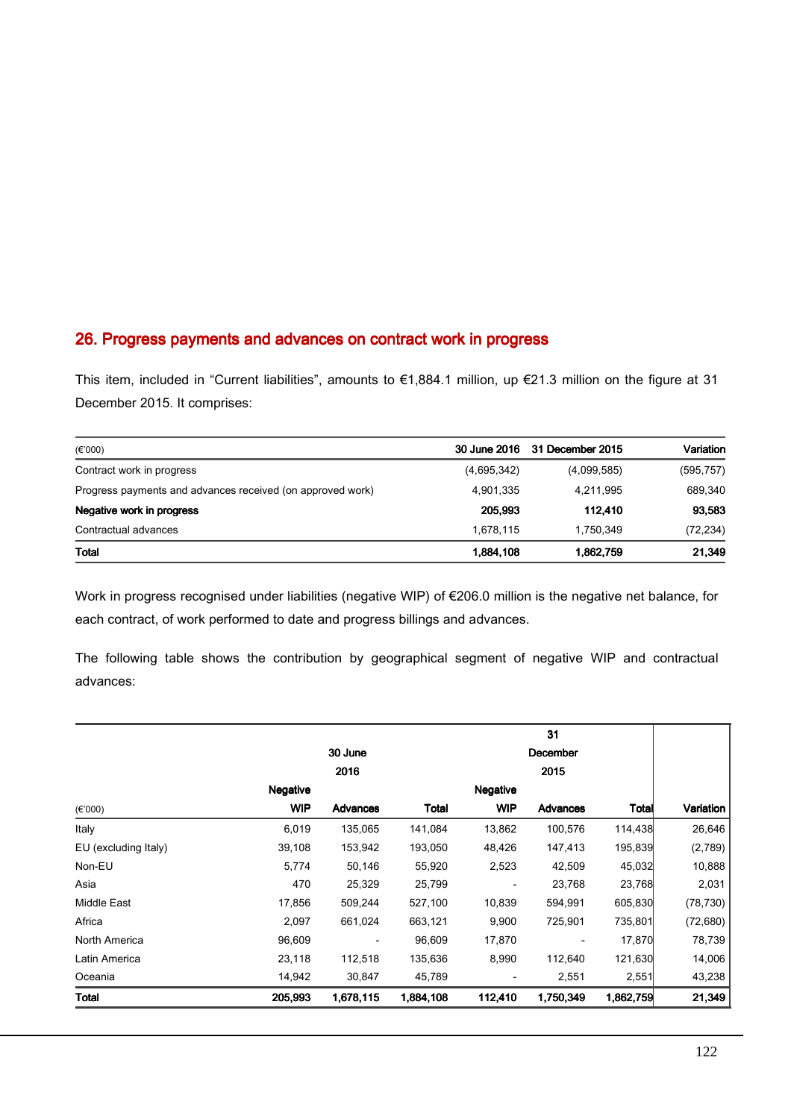## 26. Progress payments and advances on contract work in progress

This item, included in "Current liabilities", amounts to €1,884.1 million, up €21.3 million on the figure at 31 December 2015. It comprises:

| $(\epsilon$ '000)                                          |             | 30 June 2016 31 December 2015 | Variation  |
|------------------------------------------------------------|-------------|-------------------------------|------------|
| Contract work in progress                                  | (4,695,342) | (4,099,585)                   | (595, 757) |
| Progress payments and advances received (on approved work) | 4,901,335   | 4,211,995                     | 689,340    |
| Negative work in progress                                  | 205.993     | 112.410                       | 93,583     |
| Contractual advances                                       | 1.678.115   | 1.750.349                     | (72, 234)  |
| Total                                                      | 1,884,108   | 1,862,759                     | 21,349     |

Work in progress recognised under liabilities (negative WIP) of €206.0 million is the negative net balance, for each contract, of work performed to date and progress billings and advances.

The following table shows the contribution by geographical segment of negative WIP and contractual advances:

|                      |                 |           |              | 31              |                 |              |           |
|----------------------|-----------------|-----------|--------------|-----------------|-----------------|--------------|-----------|
|                      | 30 June         |           |              | December        |                 |              |           |
|                      |                 | 2016      |              |                 | 2015            |              |           |
|                      | <b>Negative</b> |           |              | <b>Negative</b> |                 |              |           |
| $(\epsilon$ '000)    | <b>WIP</b>      | Advances  | <b>Total</b> | <b>WIP</b>      | <b>Advances</b> | <b>Total</b> | Variation |
| Italy                | 6,019           | 135,065   | 141,084      | 13,862          | 100,576         | 114,438      | 26,646    |
| EU (excluding Italy) | 39,108          | 153,942   | 193,050      | 48,426          | 147,413         | 195,839      | (2,789)   |
| Non-EU               | 5,774           | 50,146    | 55,920       | 2,523           | 42,509          | 45,032       | 10,888    |
| Asia                 | 470             | 25,329    | 25,799       |                 | 23,768          | 23,768       | 2,031     |
| Middle East          | 17,856          | 509,244   | 527,100      | 10,839          | 594,991         | 605,830      | (78, 730) |
| Africa               | 2,097           | 661,024   | 663,121      | 9,900           | 725,901         | 735,801      | (72, 680) |
| North America        | 96,609          |           | 96,609       | 17,870          |                 | 17,870       | 78,739    |
| Latin America        | 23,118          | 112,518   | 135,636      | 8,990           | 112,640         | 121,630      | 14,006    |
| Oceania              | 14,942          | 30,847    | 45,789       |                 | 2,551           | 2,551        | 43,238    |
| Total                | 205,993         | 1,678,115 | 1,884,108    | 112,410         | 1,750,349       | 1,862,759    | 21,349    |